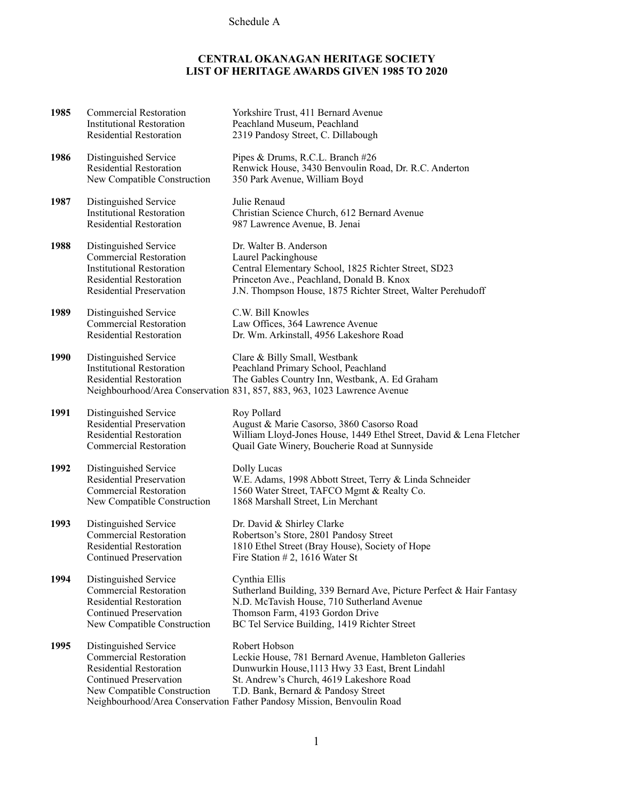## Schedule A

## **CENTRAL OKANAGAN HERITAGE SOCIETY LIST OF HERITAGE AWARDS GIVEN 1985 TO 2020**

| 1985 | <b>Commercial Restoration</b><br><b>Institutional Restoration</b><br><b>Residential Restoration</b>                                                             | Yorkshire Trust, 411 Bernard Avenue<br>Peachland Museum, Peachland<br>2319 Pandosy Street, C. Dillabough                                                                                                                                                                                |
|------|-----------------------------------------------------------------------------------------------------------------------------------------------------------------|-----------------------------------------------------------------------------------------------------------------------------------------------------------------------------------------------------------------------------------------------------------------------------------------|
| 1986 | Distinguished Service<br>Residential Restoration<br>New Compatible Construction                                                                                 | Pipes & Drums, R.C.L. Branch #26<br>Renwick House, 3430 Benvoulin Road, Dr. R.C. Anderton<br>350 Park Avenue, William Boyd                                                                                                                                                              |
| 1987 | Distinguished Service<br><b>Institutional Restoration</b><br><b>Residential Restoration</b>                                                                     | Julie Renaud<br>Christian Science Church, 612 Bernard Avenue<br>987 Lawrence Avenue, B. Jenai                                                                                                                                                                                           |
| 1988 | Distinguished Service<br><b>Commercial Restoration</b><br><b>Institutional Restoration</b><br><b>Residential Restoration</b><br><b>Residential Preservation</b> | Dr. Walter B. Anderson<br>Laurel Packinghouse<br>Central Elementary School, 1825 Richter Street, SD23<br>Princeton Ave., Peachland, Donald B. Knox<br>J.N. Thompson House, 1875 Richter Street, Walter Perehudoff                                                                       |
| 1989 | Distinguished Service<br><b>Commercial Restoration</b><br><b>Residential Restoration</b>                                                                        | C.W. Bill Knowles<br>Law Offices, 364 Lawrence Avenue<br>Dr. Wm. Arkinstall, 4956 Lakeshore Road                                                                                                                                                                                        |
| 1990 | Distinguished Service<br><b>Institutional Restoration</b><br><b>Residential Restoration</b>                                                                     | Clare & Billy Small, Westbank<br>Peachland Primary School, Peachland<br>The Gables Country Inn, Westbank, A. Ed Graham<br>Neighbourhood/Area Conservation 831, 857, 883, 963, 1023 Lawrence Avenue                                                                                      |
| 1991 | Distinguished Service<br><b>Residential Preservation</b><br><b>Residential Restoration</b><br><b>Commercial Restoration</b>                                     | Roy Pollard<br>August & Marie Casorso, 3860 Casorso Road<br>William Lloyd-Jones House, 1449 Ethel Street, David & Lena Fletcher<br>Quail Gate Winery, Boucherie Road at Sunnyside                                                                                                       |
| 1992 | Distinguished Service<br><b>Residential Preservation</b><br><b>Commercial Restoration</b><br>New Compatible Construction                                        | Dolly Lucas<br>W.E. Adams, 1998 Abbott Street, Terry & Linda Schneider<br>1560 Water Street, TAFCO Mgmt & Realty Co.<br>1868 Marshall Street, Lin Merchant                                                                                                                              |
| 1993 | Distinguished Service<br><b>Commercial Restoration</b><br>Residential Restoration<br><b>Continued Preservation</b>                                              | Dr. David & Shirley Clarke<br>Robertson's Store, 2801 Pandosy Street<br>1810 Ethel Street (Bray House), Society of Hope<br>Fire Station # 2, 1616 Water St                                                                                                                              |
| 1994 | Distinguished Service<br><b>Commercial Restoration</b><br><b>Residential Restoration</b><br><b>Continued Preservation</b><br>New Compatible Construction        | Cynthia Ellis<br>Sutherland Building, 339 Bernard Ave, Picture Perfect & Hair Fantasy<br>N.D. McTavish House, 710 Sutherland Avenue<br>Thomson Farm, 4193 Gordon Drive<br>BC Tel Service Building, 1419 Richter Street                                                                  |
| 1995 | Distinguished Service<br><b>Commercial Restoration</b><br><b>Residential Restoration</b><br><b>Continued Preservation</b><br>New Compatible Construction        | Robert Hobson<br>Leckie House, 781 Bernard Avenue, Hambleton Galleries<br>Dunwurkin House, 1113 Hwy 33 East, Brent Lindahl<br>St. Andrew's Church, 4619 Lakeshore Road<br>T.D. Bank, Bernard & Pandosy Street<br>Neighbourhood/Area Conservation Father Pandosy Mission, Benvoulin Road |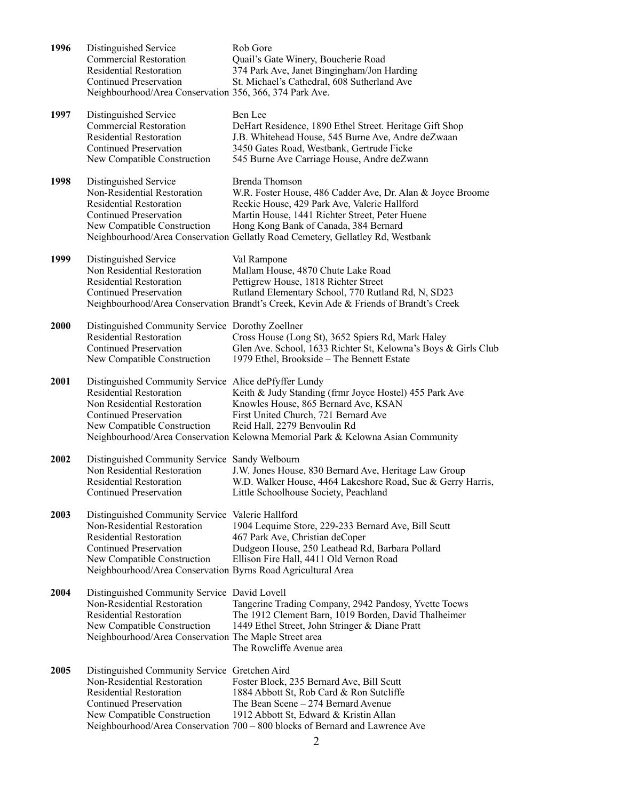| 1996 | Distinguished Service<br><b>Commercial Restoration</b><br><b>Residential Restoration</b><br><b>Continued Preservation</b><br>Neighbourhood/Area Conservation 356, 366, 374 Park Ave.                                                              | Rob Gore<br>Quail's Gate Winery, Boucherie Road<br>374 Park Ave, Janet Bingingham/Jon Harding<br>St. Michael's Cathedral, 608 Sutherland Ave                                                                                                                                                              |
|------|---------------------------------------------------------------------------------------------------------------------------------------------------------------------------------------------------------------------------------------------------|-----------------------------------------------------------------------------------------------------------------------------------------------------------------------------------------------------------------------------------------------------------------------------------------------------------|
| 1997 | Distinguished Service<br><b>Commercial Restoration</b><br><b>Residential Restoration</b><br><b>Continued Preservation</b><br>New Compatible Construction                                                                                          | Ben Lee<br>DeHart Residence, 1890 Ethel Street. Heritage Gift Shop<br>J.B. Whitehead House, 545 Burne Ave, Andre deZwaan<br>3450 Gates Road, Westbank, Gertrude Ficke<br>545 Burne Ave Carriage House, Andre deZwann                                                                                      |
| 1998 | Distinguished Service<br>Non-Residential Restoration<br><b>Residential Restoration</b><br><b>Continued Preservation</b><br>New Compatible Construction                                                                                            | Brenda Thomson<br>W.R. Foster House, 486 Cadder Ave, Dr. Alan & Joyce Broome<br>Reekie House, 429 Park Ave, Valerie Hallford<br>Martin House, 1441 Richter Street, Peter Huene<br>Hong Kong Bank of Canada, 384 Bernard<br>Neighbourhood/Area Conservation Gellatly Road Cemetery, Gellatley Rd, Westbank |
| 1999 | Distinguished Service<br>Non Residential Restoration<br><b>Residential Restoration</b><br><b>Continued Preservation</b>                                                                                                                           | Val Rampone<br>Mallam House, 4870 Chute Lake Road<br>Pettigrew House, 1818 Richter Street<br>Rutland Elementary School, 770 Rutland Rd, N, SD23<br>Neighbourhood/Area Conservation Brandt's Creek, Kevin Ade & Friends of Brandt's Creek                                                                  |
| 2000 | Distinguished Community Service Dorothy Zoellner<br><b>Residential Restoration</b><br><b>Continued Preservation</b><br>New Compatible Construction                                                                                                | Cross House (Long St), 3652 Spiers Rd, Mark Haley<br>Glen Ave. School, 1633 Richter St, Kelowna's Boys & Girls Club<br>1979 Ethel, Brookside - The Bennett Estate                                                                                                                                         |
| 2001 | Distinguished Community Service Alice dePfyffer Lundy<br><b>Residential Restoration</b><br>Non Residential Restoration<br><b>Continued Preservation</b><br>New Compatible Construction                                                            | Keith & Judy Standing (frmr Joyce Hostel) 455 Park Ave<br>Knowles House, 865 Bernard Ave, KSAN<br>First United Church, 721 Bernard Ave<br>Reid Hall, 2279 Benvoulin Rd<br>Neighbourhood/Area Conservation Kelowna Memorial Park & Kelowna Asian Community                                                 |
| 2002 | Distinguished Community Service Sandy Welbourn<br>Non Residential Restoration<br><b>Residential Restoration</b><br>Continued Preservation                                                                                                         | J.W. Jones House, 830 Bernard Ave, Heritage Law Group<br>W.D. Walker House, 4464 Lakeshore Road, Sue & Gerry Harris,<br>Little Schoolhouse Society, Peachland                                                                                                                                             |
| 2003 | Distinguished Community Service Valerie Hallford<br>Non-Residential Restoration<br><b>Residential Restoration</b><br><b>Continued Preservation</b><br>New Compatible Construction<br>Neighbourhood/Area Conservation Byrns Road Agricultural Area | 1904 Lequime Store, 229-233 Bernard Ave, Bill Scutt<br>467 Park Ave, Christian deCoper<br>Dudgeon House, 250 Leathead Rd, Barbara Pollard<br>Ellison Fire Hall, 4411 Old Vernon Road                                                                                                                      |
| 2004 | Distinguished Community Service David Lovell<br>Non-Residential Restoration<br><b>Residential Restoration</b><br>New Compatible Construction<br>Neighbourhood/Area Conservation The Maple Street area                                             | Tangerine Trading Company, 2942 Pandosy, Yvette Toews<br>The 1912 Clement Barn, 1019 Borden, David Thalheimer<br>1449 Ethel Street, John Stringer & Diane Pratt<br>The Rowcliffe Avenue area                                                                                                              |
| 2005 | Distinguished Community Service Gretchen Aird<br>Non-Residential Restoration<br><b>Residential Restoration</b><br><b>Continued Preservation</b><br>New Compatible Construction                                                                    | Foster Block, 235 Bernard Ave, Bill Scutt<br>1884 Abbott St, Rob Card & Ron Sutcliffe<br>The Bean Scene – 274 Bernard Avenue<br>1912 Abbott St, Edward & Kristin Allan<br>Neighbourhood/Area Conservation 700 - 800 blocks of Bernard and Lawrence Ave                                                    |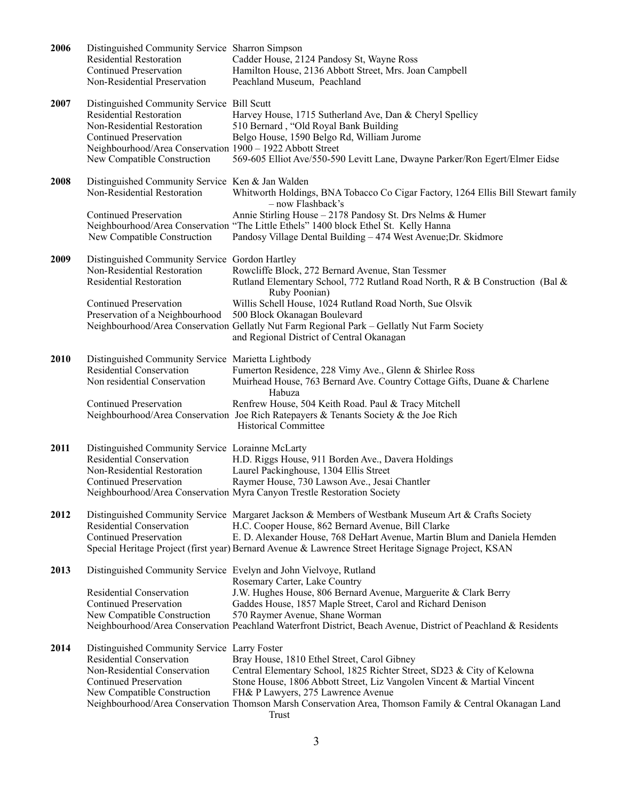| 2006 | Distinguished Community Service Sharron Simpson<br>Residential Restoration<br><b>Continued Preservation</b><br>Non-Residential Preservation                                                                                              | Cadder House, 2124 Pandosy St, Wayne Ross<br>Hamilton House, 2136 Abbott Street, Mrs. Joan Campbell<br>Peachland Museum, Peachland                                                                                                                                                                                                                         |
|------|------------------------------------------------------------------------------------------------------------------------------------------------------------------------------------------------------------------------------------------|------------------------------------------------------------------------------------------------------------------------------------------------------------------------------------------------------------------------------------------------------------------------------------------------------------------------------------------------------------|
| 2007 | Distinguished Community Service Bill Scutt<br><b>Residential Restoration</b><br>Non-Residential Restoration<br><b>Continued Preservation</b><br>Neighbourhood/Area Conservation 1900 - 1922 Abbott Street<br>New Compatible Construction | Harvey House, 1715 Sutherland Ave, Dan & Cheryl Spellicy<br>510 Bernard, "Old Royal Bank Building<br>Belgo House, 1590 Belgo Rd, William Jurome<br>569-605 Elliot Ave/550-590 Levitt Lane, Dwayne Parker/Ron Egert/Elmer Eidse                                                                                                                             |
| 2008 | Distinguished Community Service Ken & Jan Walden<br>Non-Residential Restoration<br><b>Continued Preservation</b>                                                                                                                         | Whitworth Holdings, BNA Tobacco Co Cigar Factory, 1264 Ellis Bill Stewart family<br>- now Flashback's<br>Annie Stirling House - 2178 Pandosy St. Drs Nelms & Humer                                                                                                                                                                                         |
|      | New Compatible Construction                                                                                                                                                                                                              | Neighbourhood/Area Conservation "The Little Ethels" 1400 block Ethel St. Kelly Hanna<br>Pandosy Village Dental Building - 474 West Avenue; Dr. Skidmore                                                                                                                                                                                                    |
| 2009 | Distinguished Community Service Gordon Hartley<br>Non-Residential Restoration<br><b>Residential Restoration</b>                                                                                                                          | Rowcliffe Block, 272 Bernard Avenue, Stan Tessmer<br>Rutland Elementary School, 772 Rutland Road North, R & B Construction (Bal &<br>Ruby Poonian)                                                                                                                                                                                                         |
|      | <b>Continued Preservation</b><br>Preservation of a Neighbourhood                                                                                                                                                                         | Willis Schell House, 1024 Rutland Road North, Sue Olsvik<br>500 Block Okanagan Boulevard<br>Neighbourhood/Area Conservation Gellatly Nut Farm Regional Park - Gellatly Nut Farm Society<br>and Regional District of Central Okanagan                                                                                                                       |
| 2010 | Distinguished Community Service Marietta Lightbody<br>Residential Conservation<br>Non residential Conservation                                                                                                                           | Fumerton Residence, 228 Vimy Ave., Glenn & Shirlee Ross<br>Muirhead House, 763 Bernard Ave. Country Cottage Gifts, Duane & Charlene<br>Habuza                                                                                                                                                                                                              |
|      | <b>Continued Preservation</b>                                                                                                                                                                                                            | Renfrew House, 504 Keith Road. Paul & Tracy Mitchell<br>Neighbourhood/Area Conservation Joe Rich Ratepayers & Tenants Society & the Joe Rich<br><b>Historical Committee</b>                                                                                                                                                                                |
| 2011 | Distinguished Community Service Lorainne McLarty<br><b>Residential Conservation</b><br>Non-Residential Restoration<br><b>Continued Preservation</b>                                                                                      | H.D. Riggs House, 911 Borden Ave., Davera Holdings<br>Laurel Packinghouse, 1304 Ellis Street<br>Raymer House, 730 Lawson Ave., Jesai Chantler<br>Neighbourhood/Area Conservation Myra Canyon Trestle Restoration Society                                                                                                                                   |
| 2012 | Residential Conservation<br><b>Continued Preservation</b>                                                                                                                                                                                | Distinguished Community Service Margaret Jackson & Members of Westbank Museum Art & Crafts Society<br>H.C. Cooper House, 862 Bernard Avenue, Bill Clarke<br>E. D. Alexander House, 768 DeHart Avenue, Martin Blum and Daniela Hemden<br>Special Heritage Project (first year) Bernard Avenue & Lawrence Street Heritage Signage Project, KSAN              |
| 2013 |                                                                                                                                                                                                                                          | Distinguished Community Service Evelyn and John Vielvoye, Rutland<br>Rosemary Carter, Lake Country                                                                                                                                                                                                                                                         |
|      | Residential Conservation<br><b>Continued Preservation</b><br>New Compatible Construction                                                                                                                                                 | J.W. Hughes House, 806 Bernard Avenue, Marguerite & Clark Berry<br>Gaddes House, 1857 Maple Street, Carol and Richard Denison<br>570 Raymer Avenue, Shane Worman<br>Neighbourhood/Area Conservation Peachland Waterfront District, Beach Avenue, District of Peachland & Residents                                                                         |
| 2014 | Distinguished Community Service Larry Foster<br>Residential Conservation<br>Non-Residential Conservation<br><b>Continued Preservation</b><br>New Compatible Construction                                                                 | Bray House, 1810 Ethel Street, Carol Gibney<br>Central Elementary School, 1825 Richter Street, SD23 & City of Kelowna<br>Stone House, 1806 Abbott Street, Liz Vangolen Vincent & Martial Vincent<br>FH& P Lawyers, 275 Lawrence Avenue<br>Neighbourhood/Area Conservation Thomson Marsh Conservation Area, Thomson Family & Central Okanagan Land<br>Trust |